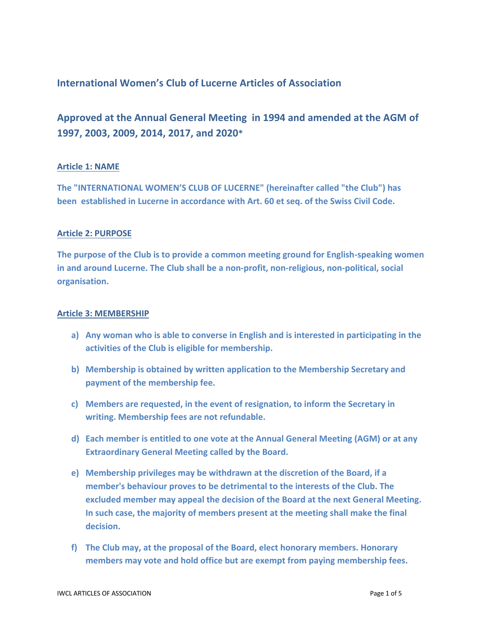# **International Women's Club of Lucerne Articles of Association**

**Approved at the Annual General Meeting in 1994 and amended at the AGM of 1997, 2003, 2009, 2014, 2017, and 2020\***

### **Article 1: NAME**

**The "INTERNATIONAL WOMEN'S CLUB OF LUCERNE" (hereinafter called "the Club") has been established in Lucerne in accordance with Art. 60 et seq. of the Swiss Civil Code.**

#### **Article 2: PURPOSE**

**The purpose of the Club is to provide a common meeting ground for English-speaking women in and around Lucerne. The Club shall be a non-profit, non-religious, non-political, social organisation.**

#### **Article 3: MEMBERSHIP**

- **a) Any woman who is able to converse in English and is interested in participating in the activities of the Club is eligible for membership.**
- **b) Membership is obtained by written application to the Membership Secretary and payment of the membership fee.**
- **c) Members are requested, in the event of resignation, to inform the Secretary in writing. Membership fees are not refundable.**
- **d) Each member is entitled to one vote at the Annual General Meeting (AGM) or at any Extraordinary General Meeting called by the Board.**
- **e) Membership privileges may be withdrawn at the discretion of the Board, if a member's behaviour proves to be detrimental to the interests of the Club. The excluded member may appeal the decision of the Board at the next General Meeting. In such case, the majority of members present at the meeting shall make the final decision.**
- **f) The Club may, at the proposal of the Board, elect honorary members. Honorary members may vote and hold office but are exempt from paying membership fees.**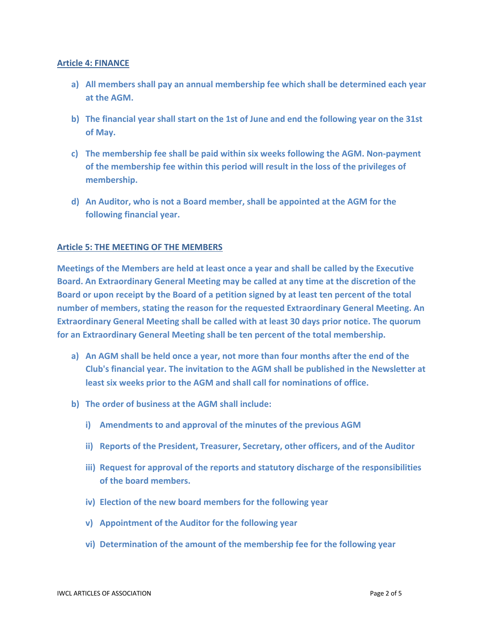### **Article 4: FINANCE**

- **a) All members shall pay an annual membership fee which shall be determined each year at the AGM.**
- **b) The financial year shall start on the 1st of June and end the following year on the 31st of May.**
- **c) The membership fee shall be paid within six weeks following the AGM. Non-payment of the membership fee within this period will result in the loss of the privileges of membership.**
- **d) An Auditor, who is not a Board member, shall be appointed at the AGM for the following financial year.**

# **Article 5: THE MEETING OF THE MEMBERS**

**Meetings of the Members are held at least once a year and shall be called by the Executive Board. An Extraordinary General Meeting may be called at any time at the discretion of the Board or upon receipt by the Board of a petition signed by at least ten percent of the total number of members, stating the reason for the requested Extraordinary General Meeting. An Extraordinary General Meeting shall be called with at least 30 days prior notice. The quorum for an Extraordinary General Meeting shall be ten percent of the total membership.**

- **a) An AGM shall be held once a year, not more than four months after the end of the Club's financial year. The invitation to the AGM shall be published in the Newsletter at least six weeks prior to the AGM and shall call for nominations of office.**
- **b) The order of business at the AGM shall include:**
	- **i) Amendments to and approval of the minutes of the previous AGM**
	- **ii) Reports of the President, Treasurer, Secretary, other officers, and of the Auditor**
	- **iii) Request for approval of the reports and statutory discharge of the responsibilities of the board members.**
	- **iv) Election of the new board members for the following year**
	- **v) Appointment of the Auditor for the following year**
	- **vi) Determination of the amount of the membership fee for the following year**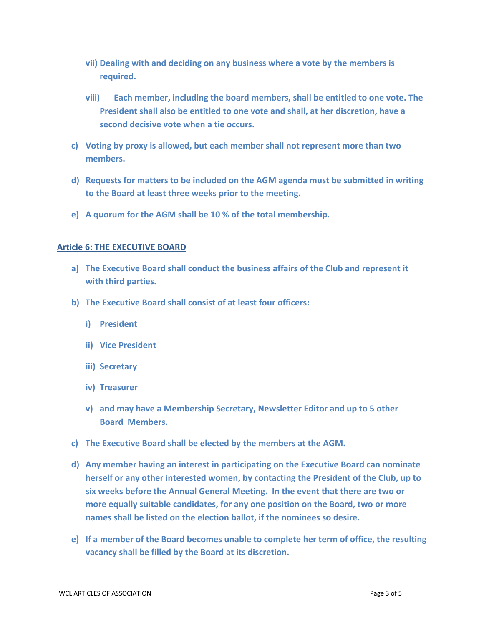- **vii) Dealing with and deciding on any business where a vote by the members is required.**
- **viii) Each member, including the board members, shall be entitled to one vote. The President shall also be entitled to one vote and shall, at her discretion, have a second decisive vote when a tie occurs.**
- **c) Voting by proxy is allowed, but each member shall not represent more than two members.**
- **d) Requests for matters to be included on the AGM agenda must be submitted in writing to the Board at least three weeks prior to the meeting.**
- **e) A quorum for the AGM shall be 10 % of the total membership.**

### **Article 6: THE EXECUTIVE BOARD**

- **a) The Executive Board shall conduct the business affairs of the Club and represent it with third parties.**
- **b) The Executive Board shall consist of at least four officers:**
	- **i) President**
	- **ii) Vice President**
	- **iii) Secretary**
	- **iv) Treasurer**
	- **v) and may have a Membership Secretary, Newsletter Editor and up to 5 other Board Members.**
- **c) The Executive Board shall be elected by the members at the AGM.**
- **d) Any member having an interest in participating on the Executive Board can nominate herself or any other interested women, by contacting the President of the Club, up to six weeks before the Annual General Meeting. In the event that there are two or more equally suitable candidates, for any one position on the Board, two or more names shall be listed on the election ballot, if the nominees so desire.**
- **e) If a member of the Board becomes unable to complete her term of office, the resulting vacancy shall be filled by the Board at its discretion.**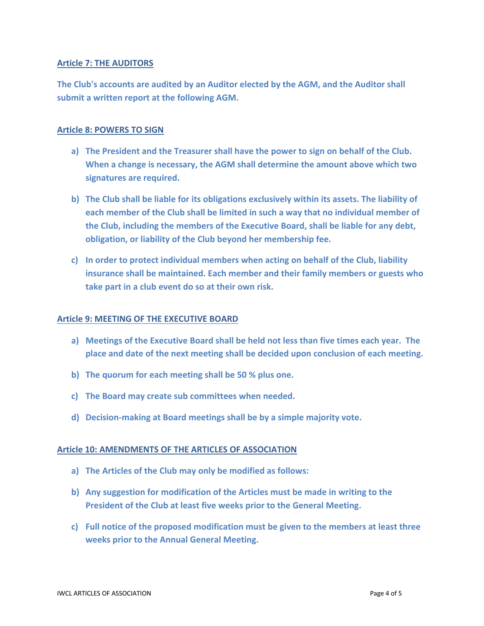# **Article 7: THE AUDITORS**

**The Club's accounts are audited by an Auditor elected by the AGM, and the Auditor shall submit a written report at the following AGM.**

# **Article 8: POWERS TO SIGN**

- **a) The President and the Treasurer shall have the power to sign on behalf of the Club. When a change is necessary, the AGM shall determine the amount above which two signatures are required.**
- **b) The Club shall be liable for its obligations exclusively within its assets. The liability of each member of the Club shall be limited in such a way that no individual member of the Club, including the members of the Executive Board, shall be liable for any debt, obligation, or liability of the Club beyond her membership fee.**
- **c) In order to protect individual members when acting on behalf of the Club, liability insurance shall be maintained. Each member and their family members or guests who take part in a club event do so at their own risk.**

### **Article 9: MEETING OF THE EXECUTIVE BOARD**

- **a) Meetings of the Executive Board shall be held not less than five times each year. The place and date of the next meeting shall be decided upon conclusion of each meeting.**
- **b) The quorum for each meeting shall be 50 % plus one.**
- **c) The Board may create sub committees when needed.**
- **d) Decision-making at Board meetings shall be by a simple majority vote.**

### **Article 10: AMENDMENTS OF THE ARTICLES OF ASSOCIATION**

- **a) The Articles of the Club may only be modified as follows:**
- **b) Any suggestion for modification of the Articles must be made in writing to the President of the Club at least five weeks prior to the General Meeting.**
- **c) Full notice of the proposed modification must be given to the members at least three weeks prior to the Annual General Meeting.**